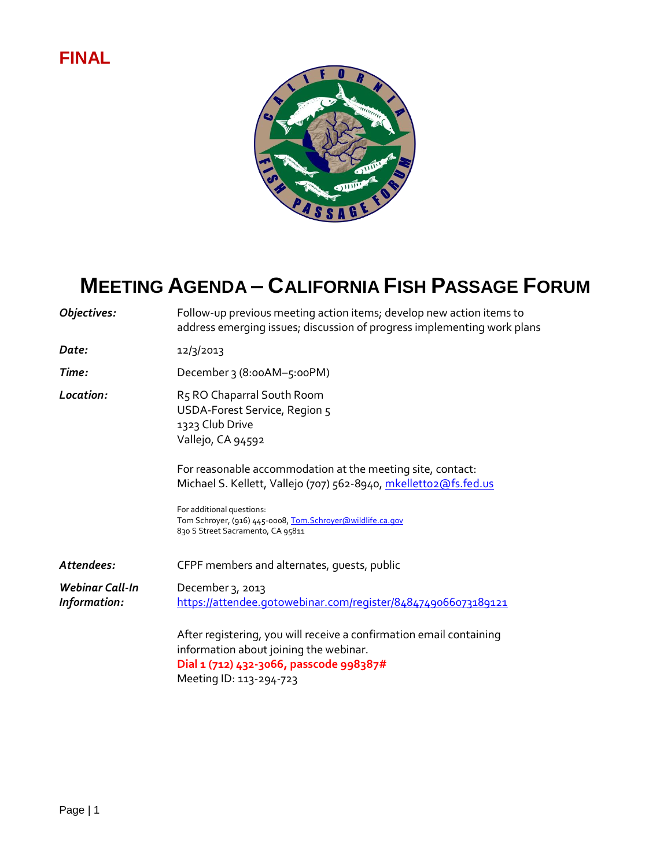## **FINAL**



## **MEETING AGENDA – CALIFORNIA FISH PASSAGE FORUM**

| Objectives:                     | Follow-up previous meeting action items; develop new action items to<br>address emerging issues; discussion of progress implementing work plans                                                                                                                 |
|---------------------------------|-----------------------------------------------------------------------------------------------------------------------------------------------------------------------------------------------------------------------------------------------------------------|
| Date:                           | 12/3/2013                                                                                                                                                                                                                                                       |
| Time:                           | December 3 (8:00AM-5:00PM)                                                                                                                                                                                                                                      |
| Location:                       | R5 RO Chaparral South Room<br>USDA-Forest Service, Region 5<br>1323 Club Drive<br>Vallejo, CA 94592                                                                                                                                                             |
|                                 | For reasonable accommodation at the meeting site, contact:<br>Michael S. Kellett, Vallejo (707) 562-8940, mkelletto2@fs.fed.us<br>For additional questions:<br>Tom Schroyer, (916) 445-0008, Tom. Schroyer@wildlife.ca.gov<br>830 S Street Sacramento, CA 95811 |
| Attendees:                      | CFPF members and alternates, guests, public                                                                                                                                                                                                                     |
| Webinar Call-In<br>Information: | December 3, 2013<br>https://attendee.gotowebinar.com/register/8484749066073189121                                                                                                                                                                               |
|                                 | After registering, you will receive a confirmation email containing<br>information about joining the webinar.<br>Dial 1 (712) 432-3066, passcode 998387#<br>Meeting ID: 113-294-723                                                                             |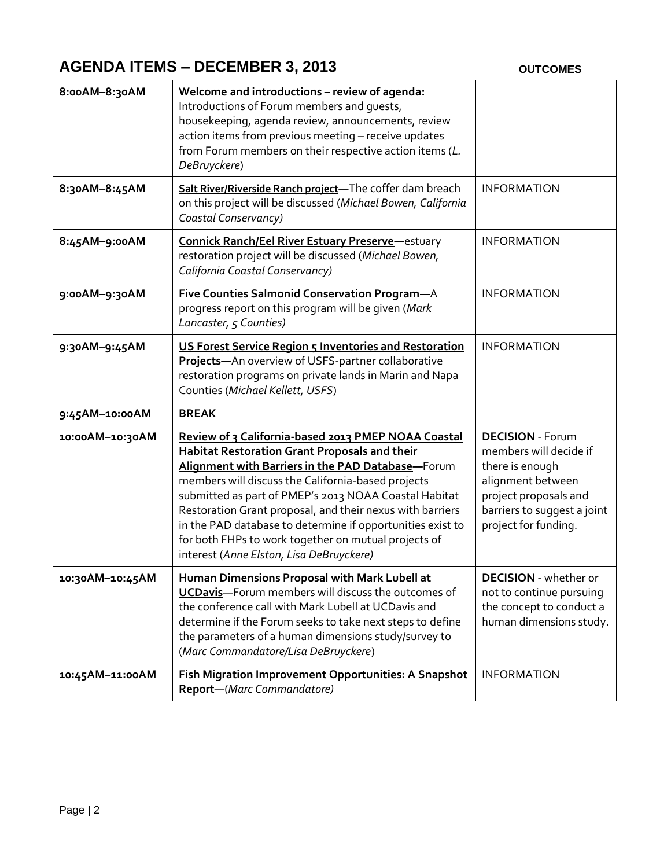## **AGENDA ITEMS – DECEMBER 3, 2013** OUTCOMES

| 8:00AM-8:30AM   | Welcome and introductions - review of agenda:<br>Introductions of Forum members and guests,<br>housekeeping, agenda review, announcements, review<br>action items from previous meeting - receive updates<br>from Forum members on their respective action items (L.<br>DeBruyckere)                                                                                                                                                                                                                           |                                                                                                                                                                           |
|-----------------|----------------------------------------------------------------------------------------------------------------------------------------------------------------------------------------------------------------------------------------------------------------------------------------------------------------------------------------------------------------------------------------------------------------------------------------------------------------------------------------------------------------|---------------------------------------------------------------------------------------------------------------------------------------------------------------------------|
| 8:30AM-8:45AM   | Salt River/Riverside Ranch project-The coffer dam breach<br>on this project will be discussed (Michael Bowen, California<br>Coastal Conservancy)                                                                                                                                                                                                                                                                                                                                                               | <b>INFORMATION</b>                                                                                                                                                        |
| 8:45AM-9:00AM   | <b>Connick Ranch/Eel River Estuary Preserve-estuary</b><br>restoration project will be discussed (Michael Bowen,<br>California Coastal Conservancy)                                                                                                                                                                                                                                                                                                                                                            | <b>INFORMATION</b>                                                                                                                                                        |
| 9:00AM-9:30AM   | <b>Five Counties Salmonid Conservation Program-A</b><br>progress report on this program will be given (Mark<br>Lancaster, 5 Counties)                                                                                                                                                                                                                                                                                                                                                                          | <b>INFORMATION</b>                                                                                                                                                        |
| 9:30AM-9:45AM   | US Forest Service Region 5 Inventories and Restoration<br>Projects-An overview of USFS-partner collaborative<br>restoration programs on private lands in Marin and Napa<br>Counties (Michael Kellett, USFS)                                                                                                                                                                                                                                                                                                    | <b>INFORMATION</b>                                                                                                                                                        |
| 9:45AM-10:00AM  | <b>BREAK</b>                                                                                                                                                                                                                                                                                                                                                                                                                                                                                                   |                                                                                                                                                                           |
| 10:00AM-10:30AM | Review of 3 California-based 2013 PMEP NOAA Coastal<br><b>Habitat Restoration Grant Proposals and their</b><br>Alignment with Barriers in the PAD Database-Forum<br>members will discuss the California-based projects<br>submitted as part of PMEP's 2013 NOAA Coastal Habitat<br>Restoration Grant proposal, and their nexus with barriers<br>in the PAD database to determine if opportunities exist to<br>for both FHPs to work together on mutual projects of<br>interest (Anne Elston, Lisa DeBruyckere) | <b>DECISION - Forum</b><br>members will decide if<br>there is enough<br>alignment between<br>project proposals and<br>barriers to suggest a joint<br>project for funding. |
| 10:30AM-10:45AM | Human Dimensions Proposal with Mark Lubell at<br>UCDavis-Forum members will discuss the outcomes of<br>the conference call with Mark Lubell at UCDavis and<br>determine if the Forum seeks to take next steps to define<br>the parameters of a human dimensions study/survey to<br>(Marc Commandatore/Lisa DeBruyckere)                                                                                                                                                                                        | <b>DECISION</b> - whether or<br>not to continue pursuing<br>the concept to conduct a<br>human dimensions study.                                                           |
| 10:45AM-11:00AM | Fish Migration Improvement Opportunities: A Snapshot<br>Report-(Marc Commandatore)                                                                                                                                                                                                                                                                                                                                                                                                                             | <b>INFORMATION</b>                                                                                                                                                        |